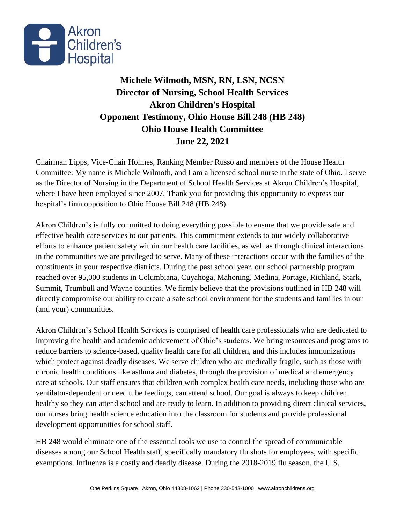

## **Michele Wilmoth, MSN, RN, LSN, NCSN Director of Nursing, School Health Services Akron Children's Hospital Opponent Testimony, Ohio House Bill 248 (HB 248) Ohio House Health Committee June 22, 2021**

Chairman Lipps, Vice-Chair Holmes, Ranking Member Russo and members of the House Health Committee: My name is Michele Wilmoth, and I am a licensed school nurse in the state of Ohio. I serve as the Director of Nursing in the Department of School Health Services at Akron Children's Hospital, where I have been employed since 2007. Thank you for providing this opportunity to express our hospital's firm opposition to Ohio House Bill 248 (HB 248).

Akron Children's is fully committed to doing everything possible to ensure that we provide safe and effective health care services to our patients. This commitment extends to our widely collaborative efforts to enhance patient safety within our health care facilities, as well as through clinical interactions in the communities we are privileged to serve. Many of these interactions occur with the families of the constituents in your respective districts. During the past school year, our school partnership program reached over 95,000 students in Columbiana, Cuyahoga, Mahoning, Medina, Portage, Richland, Stark, Summit, Trumbull and Wayne counties. We firmly believe that the provisions outlined in HB 248 will directly compromise our ability to create a safe school environment for the students and families in our (and your) communities.

Akron Children's School Health Services is comprised of health care professionals who are dedicated to improving the health and academic achievement of Ohio's students. We bring resources and programs to reduce barriers to science-based, quality health care for all children, and this includes immunizations which protect against deadly diseases. We serve children who are medically fragile, such as those with chronic health conditions like asthma and diabetes, through the provision of medical and emergency care at schools. Our staff ensures that children with complex health care needs, including those who are ventilator-dependent or need tube feedings, can attend school. Our goal is always to keep children healthy so they can attend school and are ready to learn. In addition to providing direct clinical services, our nurses bring health science education into the classroom for students and provide professional development opportunities for school staff.

HB 248 would eliminate one of the essential tools we use to control the spread of communicable diseases among our School Health staff, specifically mandatory flu shots for employees, with specific exemptions. Influenza is a costly and deadly disease. During the 2018-2019 flu season, the U.S.